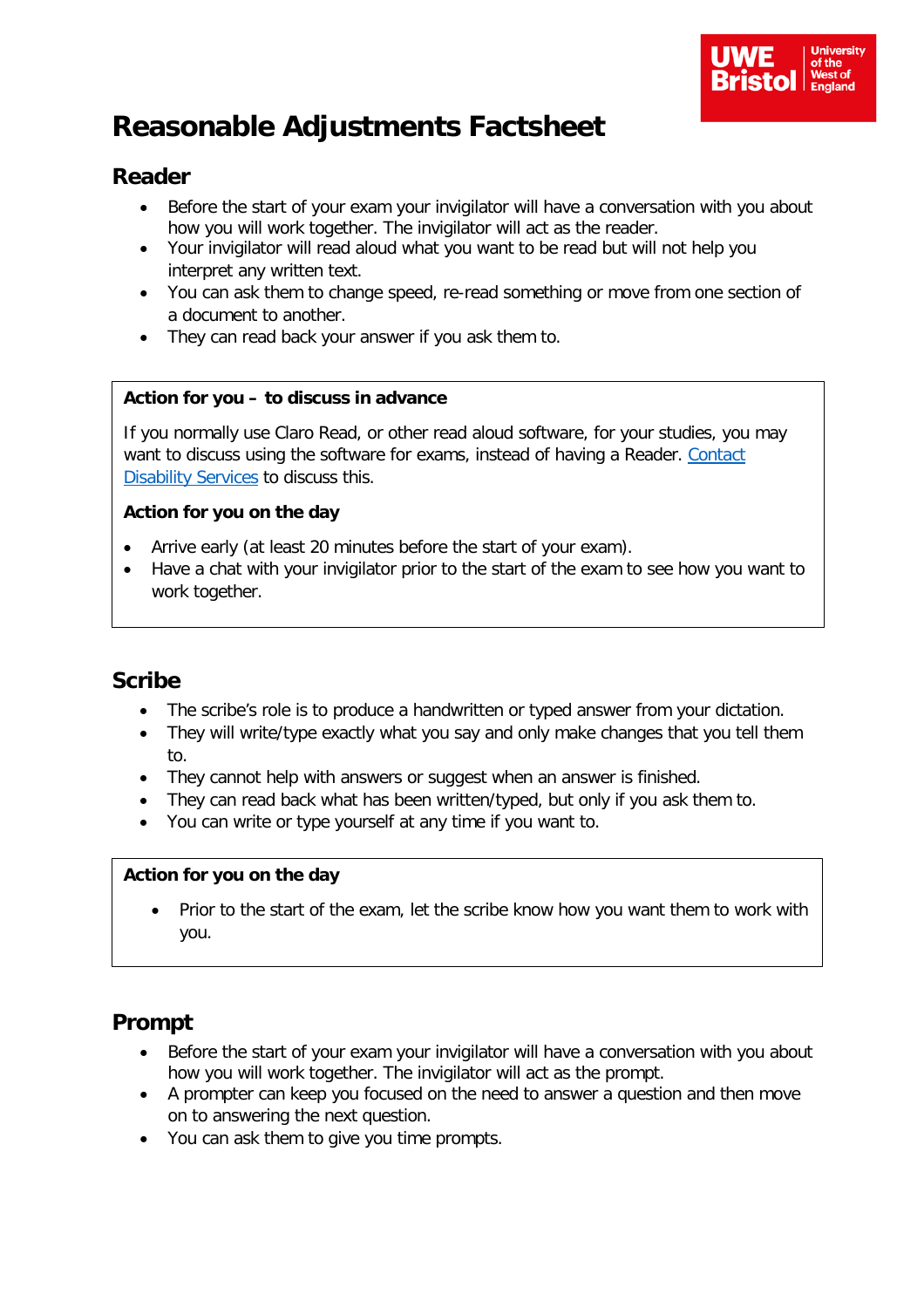

# **Reasonable Adjustments Factsheet**

# **Reader**

- Before the start of your exam your invigilator will have a conversation with you about how you will work together. The invigilator will act as the reader.
- Your invigilator will read aloud what you want to be read but will not help you interpret any written text.
- You can ask them to change speed, re-read something or move from one section of a document to another.
- They can read back your answer if you ask them to.

#### **Action for you – to discuss in advance**

If you normally use Claro Read, or other read aloud software, for your studies, you may want to discuss using the software for exams, instead of having a Reader. Contact [Disability Services](https://www1.uwe.ac.uk/students/studysupport/disabilityservice/contactdisabilityservice.aspx) to discuss this.

#### **Action for you on the day**

- Arrive early (at least 20 minutes before the start of your exam).
- Have a chat with your invigilator prior to the start of the exam to see how you want to work together.

### **Scribe**

- The scribe's role is to produce a handwritten or typed answer from your dictation.
- They will write/type exactly what you say and only make changes that you tell them to.
- They cannot help with answers or suggest when an answer is finished.
- They can read back what has been written/typed, but only if you ask them to.
- You can write or type yourself at any time if you want to.

#### **Action for you on the day**

• Prior to the start of the exam, let the scribe know how you want them to work with you.

## **Prompt**

- Before the start of your exam your invigilator will have a conversation with you about how you will work together. The invigilator will act as the prompt.
- A prompter can keep you focused on the need to answer a question and then move on to answering the next question.
- You can ask them to give you time prompts.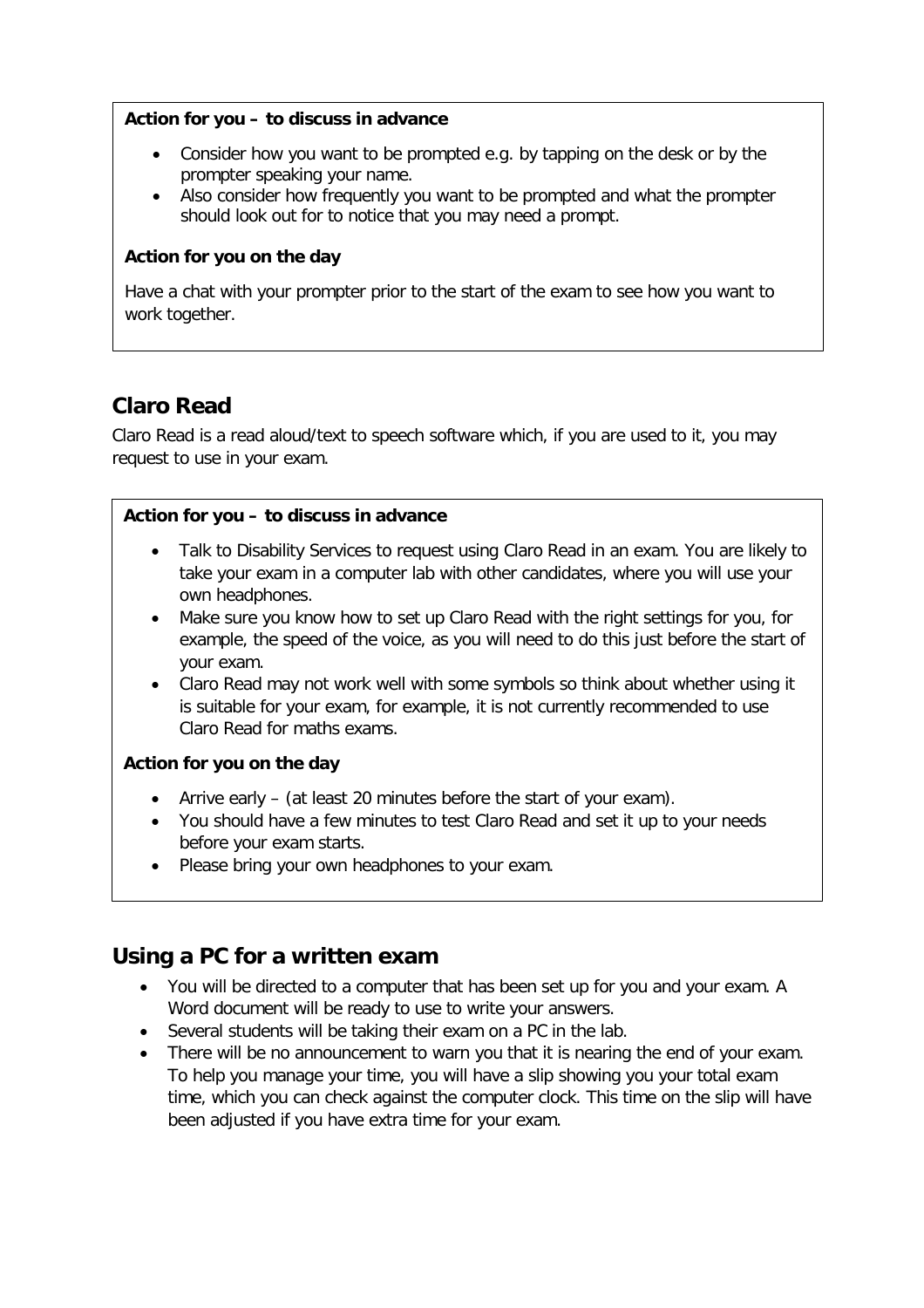#### **Action for you – to discuss in advance**

- Consider how you want to be prompted e.g. by tapping on the desk or by the prompter speaking your name.
- Also consider how frequently you want to be prompted and what the prompter should look out for to notice that you may need a prompt.

#### **Action for you on the day**

Have a chat with your prompter prior to the start of the exam to see how you want to work together.

# **Claro Read**

Claro Read is a read aloud/text to speech software which, if you are used to it, you may request to use in your exam.

#### **Action for you – to discuss in advance**

- Talk to Disability Services to request using Claro Read in an exam. You are likely to take your exam in a computer lab with other candidates, where you will use your own headphones.
- Make sure you know how to set up Claro Read with the right settings for you, for example, the speed of the voice, as you will need to do this just before the start of your exam.
- Claro Read may not work well with some symbols so think about whether using it is suitable for your exam, for example, it is not currently recommended to use Claro Read for maths exams.

#### **Action for you on the day**

- Arrive early (at least 20 minutes before the start of your exam).
- You should have a few minutes to test Claro Read and set it up to your needs before your exam starts.
- Please bring your own headphones to your exam.

### **Using a PC for a written exam**

- You will be directed to a computer that has been set up for you and your exam. A Word document will be ready to use to write your answers.
- Several students will be taking their exam on a PC in the lab.
- There will be no announcement to warn you that it is nearing the end of your exam. To help you manage your time, you will have a slip showing you your total exam time, which you can check against the computer clock. This time on the slip will have been adjusted if you have extra time for your exam.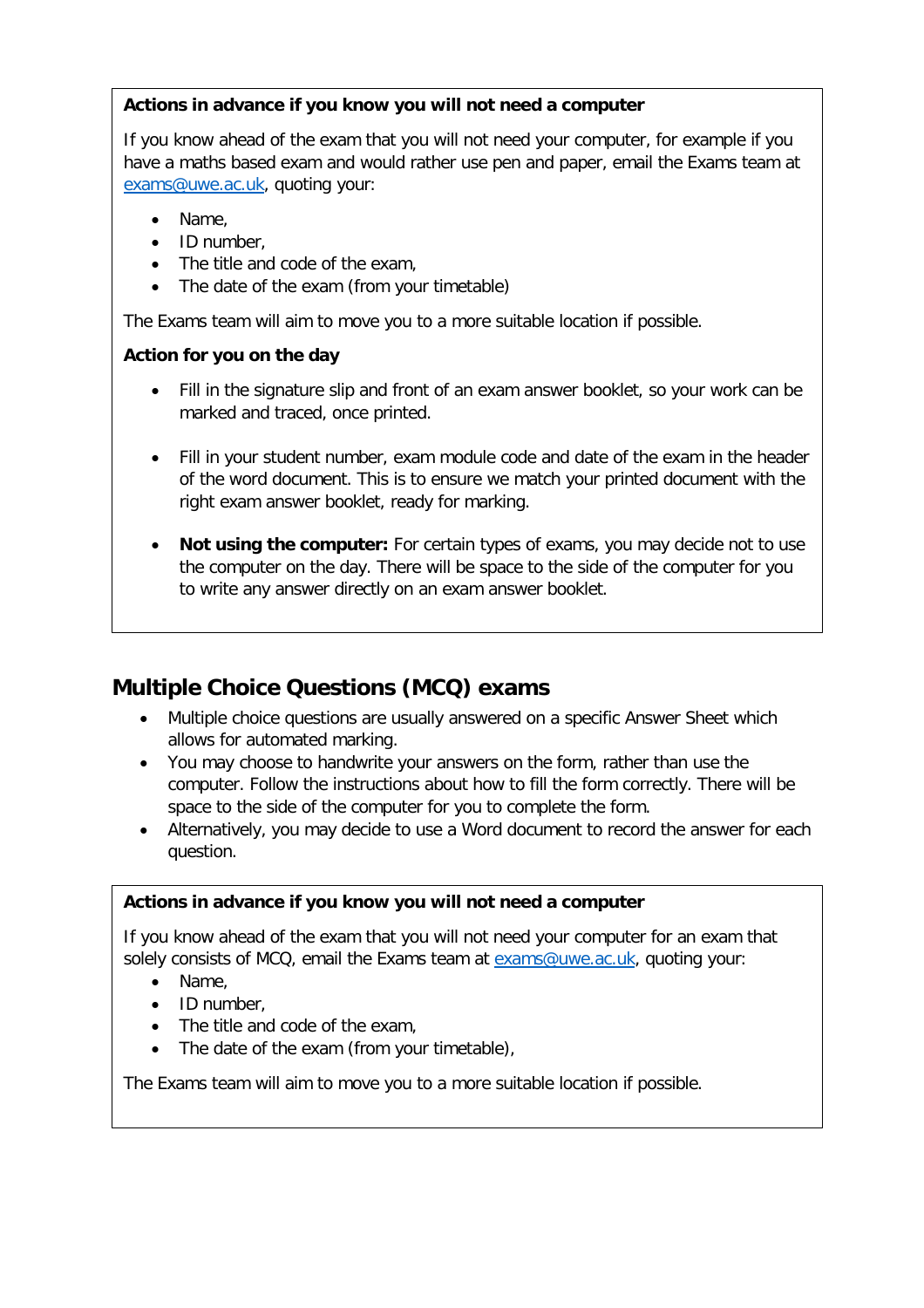#### **Actions in advance if you know you will not need a computer**

If you know ahead of the exam that you will not need your computer, for example if you have a maths based exam and would rather use pen and paper, email the Exams team at [exams@uwe.ac.uk,](mailto:exams@uwe.ac.uk) quoting your:

- Name,
- ID number,
- The title and code of the exam,
- The date of the exam (from your timetable)

The Exams team will aim to move you to a more suitable location if possible.

#### **Action for you on the day**

- Fill in the signature slip and front of an exam answer booklet, so your work can be marked and traced, once printed.
- Fill in your student number, exam module code and date of the exam in the header of the word document. This is to ensure we match your printed document with the right exam answer booklet, ready for marking.
- **Not using the computer:** For certain types of exams, you may decide not to use the computer on the day. There will be space to the side of the computer for you to write any answer directly on an exam answer booklet.

# **Multiple Choice Questions (MCQ) exams**

- Multiple choice questions are usually answered on a specific Answer Sheet which allows for automated marking.
- You may choose to handwrite your answers on the form, rather than use the computer. Follow the instructions about how to fill the form correctly. There will be space to the side of the computer for you to complete the form.
- Alternatively, you may decide to use a Word document to record the answer for each question.

#### **Actions in advance if you know you will not need a computer**

If you know ahead of the exam that you will not need your computer for an exam that solely consists of MCQ, email the Exams team at exams@uwe.ac.uk, quoting your:

- Name,
- ID number,
- The title and code of the exam,
- The date of the exam (from your timetable),

The Exams team will aim to move you to a more suitable location if possible.